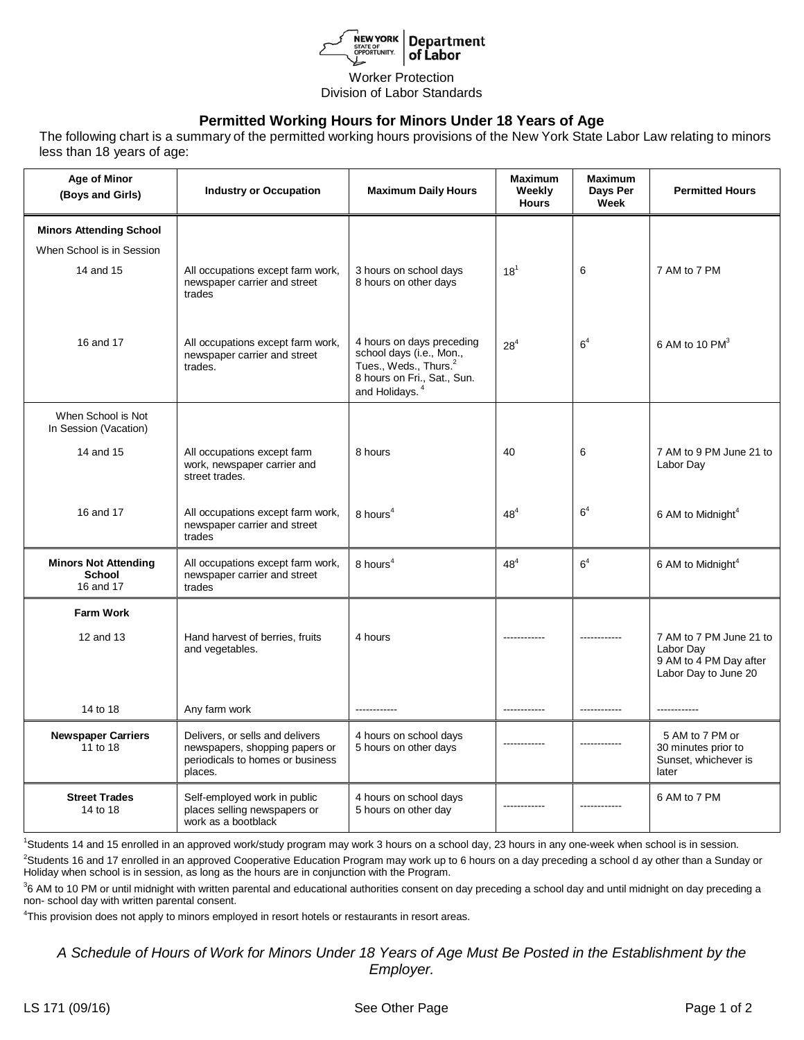

## Worker Protection Division of Labor Standards

## **Permitted Working Hours for Minors Under 18 Years of Age**

The following chart is a summary of the permitted working hours provisions of the New York State Labor Law relating to minors less than 18 years of age:

| <b>Age of Minor</b><br>(Boys and Girls)                   | <b>Industry or Occupation</b>                                                                                    | <b>Maximum Daily Hours</b>                                                                                                                              | <b>Maximum</b><br>Weekly<br><b>Hours</b> | Maximum<br>Days Per<br>Week | <b>Permitted Hours</b>                                                                 |
|-----------------------------------------------------------|------------------------------------------------------------------------------------------------------------------|---------------------------------------------------------------------------------------------------------------------------------------------------------|------------------------------------------|-----------------------------|----------------------------------------------------------------------------------------|
| <b>Minors Attending School</b>                            |                                                                                                                  |                                                                                                                                                         |                                          |                             |                                                                                        |
| When School is in Session                                 |                                                                                                                  |                                                                                                                                                         |                                          |                             |                                                                                        |
| 14 and 15                                                 | All occupations except farm work,<br>newspaper carrier and street<br>trades                                      | 3 hours on school days<br>8 hours on other days                                                                                                         | $18^{1}$                                 | 6                           | 7 AM to 7 PM                                                                           |
| 16 and 17                                                 | All occupations except farm work,<br>newspaper carrier and street<br>trades.                                     | 4 hours on days preceding<br>school days (i.e., Mon.,<br>Tues., Weds., Thurs. <sup>2</sup><br>8 hours on Fri., Sat., Sun.<br>and Holidays. <sup>4</sup> | $28^{4}$                                 | 6 <sup>4</sup>              | 6 AM to 10 $PM^3$                                                                      |
| When School is Not<br>In Session (Vacation)               |                                                                                                                  |                                                                                                                                                         |                                          |                             |                                                                                        |
| 14 and 15                                                 | All occupations except farm<br>work, newspaper carrier and<br>street trades.                                     | 8 hours                                                                                                                                                 | 40                                       | 6                           | 7 AM to 9 PM June 21 to<br>Labor Day                                                   |
| 16 and 17                                                 | All occupations except farm work,<br>newspaper carrier and street<br>trades                                      | 8 hours <sup>4</sup>                                                                                                                                    | 48 <sup>4</sup>                          | 6 <sup>4</sup>              | 6 AM to Midnight <sup>4</sup>                                                          |
| <b>Minors Not Attending</b><br><b>School</b><br>16 and 17 | All occupations except farm work,<br>newspaper carrier and street<br>trades                                      | 8 hours <sup>4</sup>                                                                                                                                    | 48 <sup>4</sup>                          | 6 <sup>4</sup>              | 6 AM to Midnight <sup>4</sup>                                                          |
| <b>Farm Work</b>                                          |                                                                                                                  |                                                                                                                                                         |                                          |                             |                                                                                        |
| 12 and 13                                                 | Hand harvest of berries, fruits<br>and vegetables.                                                               | 4 hours                                                                                                                                                 |                                          | ------------                | 7 AM to 7 PM June 21 to<br>Labor Day<br>9 AM to 4 PM Day after<br>Labor Day to June 20 |
| 14 to 18                                                  | Any farm work                                                                                                    | ------------                                                                                                                                            | ------------                             | ------------                | ------------                                                                           |
| <b>Newspaper Carriers</b><br>11 to 18                     | Delivers, or sells and delivers<br>newspapers, shopping papers or<br>periodicals to homes or business<br>places. | 4 hours on school days<br>5 hours on other days                                                                                                         |                                          |                             | 5 AM to 7 PM or<br>30 minutes prior to<br>Sunset, whichever is<br>later                |
| <b>Street Trades</b><br>14 to 18                          | Self-employed work in public<br>places selling newspapers or<br>work as a bootblack                              | 4 hours on school days<br>5 hours on other day                                                                                                          |                                          |                             | 6 AM to 7 PM                                                                           |

1 Students 14 and 15 enrolled in an approved work/study program may work 3 hours on a school day, 23 hours in any one-week when school is in session.

<sup>2</sup>Students 16 and 17 enrolled in an approved Cooperative Education Program may work up to 6 hours on a day preceding a school d ay other than a Sunday or Holiday when school is in session, as long as the hours are in conjunction with the Program.

<sup>3</sup>6 AM to 10 PM or until midnight with written parental and educational authorities consent on day preceding a school day and until midnight on day preceding a non- school day with written parental consent.

<sup>4</sup>This provision does not apply to minors employed in resort hotels or restaurants in resort areas.

*A Schedule of Hours of Work for Minors Under 18 Years of Age Must Be Posted in the Establishment by the Employer.*